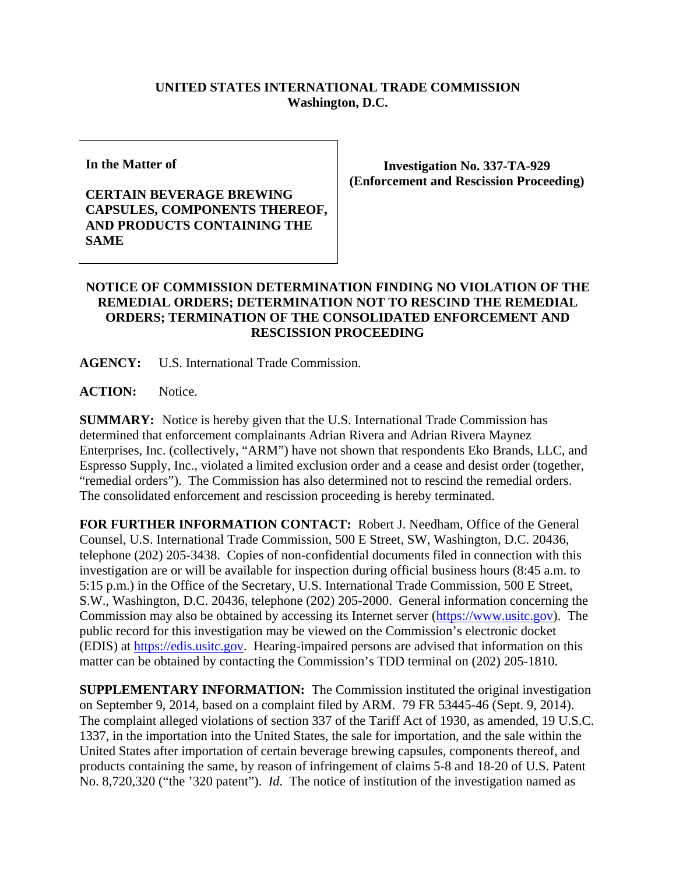## **UNITED STATES INTERNATIONAL TRADE COMMISSION Washington, D.C.**

**In the Matter of** 

## **CERTAIN BEVERAGE BREWING CAPSULES, COMPONENTS THEREOF, AND PRODUCTS CONTAINING THE SAME**

**Investigation No. 337-TA-929 (Enforcement and Rescission Proceeding)** 

## **NOTICE OF COMMISSION DETERMINATION FINDING NO VIOLATION OF THE REMEDIAL ORDERS; DETERMINATION NOT TO RESCIND THE REMEDIAL ORDERS; TERMINATION OF THE CONSOLIDATED ENFORCEMENT AND RESCISSION PROCEEDING**

**AGENCY:** U.S. International Trade Commission.

**ACTION:** Notice.

**SUMMARY:** Notice is hereby given that the U.S. International Trade Commission has determined that enforcement complainants Adrian Rivera and Adrian Rivera Maynez Enterprises, Inc. (collectively, "ARM") have not shown that respondents Eko Brands, LLC, and Espresso Supply, Inc., violated a limited exclusion order and a cease and desist order (together, "remedial orders"). The Commission has also determined not to rescind the remedial orders. The consolidated enforcement and rescission proceeding is hereby terminated.

**FOR FURTHER INFORMATION CONTACT:** Robert J. Needham, Office of the General Counsel, U.S. International Trade Commission, 500 E Street, SW, Washington, D.C. 20436, telephone (202) 205-3438. Copies of non-confidential documents filed in connection with this investigation are or will be available for inspection during official business hours (8:45 a.m. to 5:15 p.m.) in the Office of the Secretary, U.S. International Trade Commission, 500 E Street, S.W., Washington, D.C. 20436, telephone (202) 205-2000. General information concerning the Commission may also be obtained by accessing its Internet server (https://www.usitc.gov). The public record for this investigation may be viewed on the Commission's electronic docket (EDIS) at https://edis.usitc.gov. Hearing-impaired persons are advised that information on this matter can be obtained by contacting the Commission's TDD terminal on (202) 205-1810.

**SUPPLEMENTARY INFORMATION:** The Commission instituted the original investigation on September 9, 2014, based on a complaint filed by ARM. 79 FR 53445-46 (Sept. 9, 2014). The complaint alleged violations of section 337 of the Tariff Act of 1930, as amended, 19 U.S.C. 1337, in the importation into the United States, the sale for importation, and the sale within the United States after importation of certain beverage brewing capsules, components thereof, and products containing the same, by reason of infringement of claims 5-8 and 18-20 of U.S. Patent No. 8,720,320 ("the '320 patent"). *Id*. The notice of institution of the investigation named as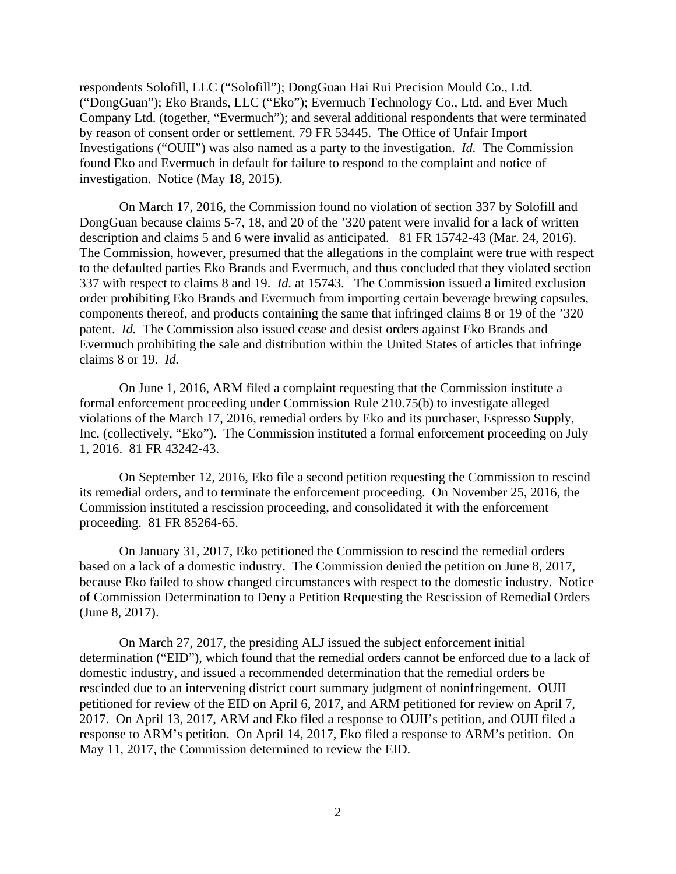respondents Solofill, LLC ("Solofill"); DongGuan Hai Rui Precision Mould Co., Ltd. ("DongGuan"); Eko Brands, LLC ("Eko"); Evermuch Technology Co., Ltd. and Ever Much Company Ltd. (together, "Evermuch"); and several additional respondents that were terminated by reason of consent order or settlement. 79 FR 53445. The Office of Unfair Import Investigations ("OUII") was also named as a party to the investigation. *Id.* The Commission found Eko and Evermuch in default for failure to respond to the complaint and notice of investigation. Notice (May 18, 2015).

On March 17, 2016, the Commission found no violation of section 337 by Solofill and DongGuan because claims 5-7, 18, and 20 of the '320 patent were invalid for a lack of written description and claims 5 and 6 were invalid as anticipated. 81 FR 15742-43 (Mar. 24, 2016). The Commission, however, presumed that the allegations in the complaint were true with respect to the defaulted parties Eko Brands and Evermuch, and thus concluded that they violated section 337 with respect to claims 8 and 19. *Id.* at 15743. The Commission issued a limited exclusion order prohibiting Eko Brands and Evermuch from importing certain beverage brewing capsules, components thereof, and products containing the same that infringed claims 8 or 19 of the '320 patent. *Id.* The Commission also issued cease and desist orders against Eko Brands and Evermuch prohibiting the sale and distribution within the United States of articles that infringe claims 8 or 19. *Id.*

On June 1, 2016, ARM filed a complaint requesting that the Commission institute a formal enforcement proceeding under Commission Rule 210.75(b) to investigate alleged violations of the March 17, 2016, remedial orders by Eko and its purchaser, Espresso Supply, Inc. (collectively, "Eko"). The Commission instituted a formal enforcement proceeding on July 1, 2016. 81 FR 43242-43.

On September 12, 2016, Eko file a second petition requesting the Commission to rescind its remedial orders, and to terminate the enforcement proceeding. On November 25, 2016, the Commission instituted a rescission proceeding, and consolidated it with the enforcement proceeding.81 FR 85264-65.

On January 31, 2017, Eko petitioned the Commission to rescind the remedial orders based on a lack of a domestic industry. The Commission denied the petition on June 8, 2017, because Eko failed to show changed circumstances with respect to the domestic industry. Notice of Commission Determination to Deny a Petition Requesting the Rescission of Remedial Orders (June 8, 2017).

On March 27, 2017, the presiding ALJ issued the subject enforcement initial determination ("EID"), which found that the remedial orders cannot be enforced due to a lack of domestic industry, and issued a recommended determination that the remedial orders be rescinded due to an intervening district court summary judgment of noninfringement. OUII petitioned for review of the EID on April 6, 2017, and ARM petitioned for review on April 7, 2017. On April 13, 2017, ARM and Eko filed a response to OUII's petition, and OUII filed a response to ARM's petition. On April 14, 2017, Eko filed a response to ARM's petition. On May 11, 2017, the Commission determined to review the EID.